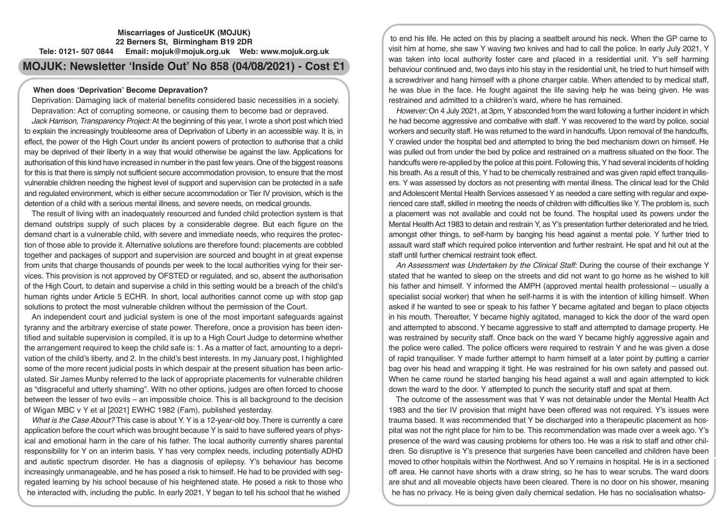# **MOJUK: Newsletter 'Inside Out' No 858 (04/08/2021) - Cost £1**

## **When does 'Deprivation' Become Depravation?**

Deprivation: Damaging lack of material benefits considered basic necessities in a society. Depravation: Act of corrupting someone, or causing them to become bad or depraved. *Jack Harrison, Transparency Project:* At the beginning of this year, I wrote a short post which tried to explain the increasingly troublesome area of Deprivation of Liberty in an accessible way. It is, in effect, the power of the High Court under its ancient powers of protection to authorise that a child may be deprived of their liberty in a way that would otherwise be against the law. Applications for authorisation of this kind have increased in number in the past few years. One of the biggest reasons for this is that there is simply not sufficient secure accommodation provision, to ensure that the most vulnerable children needing the highest level of support and supervision can be protected in a safe and regulated environment, which is either secure accommodation or Tier IV provision, which is the detention of a child with a serious mental illness, and severe needs, on medical grounds.

The result of living with an inadequately resourced and funded child protection system is that demand outstrips supply of such places by a considerable degree. But each figure on the demand chart is a vulnerable child, with severe and immediate needs, who requires the protection of those able to provide it. Alternative solutions are therefore found: placements are cobbled together and packages of support and supervision are sourced and bought in at great expense from units that charge thousands of pounds per week to the local authorities vying for their services. This provision is not approved by OFSTED or regulated, and so, absent the authorisation of the High Court, to detain and supervise a child in this setting would be a breach of the child's human rights under Article 5 ECHR. In short, local authorities cannot come up with stop gap solutions to protect the most vulnerable children without the permission of the Court.

An independent court and judicial system is one of the most important safeguards against tyranny and the arbitrary exercise of state power. Therefore, once a provision has been identified and suitable supervision is compiled, it is up to a High Court Judge to determine whether the arrangement required to keep the child safe is: 1. As a matter of fact, amounting to a deprivation of the child's liberty, and 2. In the child's best interests. In my January post, I highlighted some of the more recent judicial posts in which despair at the present situation has been articulated. Sir James Munby referred to the lack of appropriate placements for vulnerable children as "disgraceful and utterly shaming". With no other options, judges are often forced to choose between the lesser of two evils – an impossible choice. This is all background to the decision of Wigan MBC v Y et al [2021] EWHC 1982 (Fam), published yesterday.

*What is the Case About?* This case is about Y. Y is a 12-year-old boy. There is currently a care application before the court which was brought because Y is said to have suffered years of physical and emotional harm in the care of his father. The local authority currently shares parental responsibility for Y on an interim basis. Y has very complex needs, including potentially ADHD and autistic spectrum disorder. He has a diagnosis of epilepsy. Y's behaviour has become increasingly unmanageable, and he has posed a risk to himself. He had to be provided with segregated learning by his school because of his heightened state. He posed a risk to those who he interacted with, including the public. In early 2021, Y began to tell his school that he wished

to end his life. He acted on this by placing a seatbelt around his neck. When the GP came to visit him at home, she saw Y waving two knives and had to call the police. In early July 2021, Y was taken into local authority foster care and placed in a residential unit. Y's self harming behaviour continued and, two days into his stay in the residential unit, he tried to hurt himself with a screwdriver and hang himself with a phone charger cable. When attended to by medical staff, he was blue in the face. He fought against the life saving help he was being given. He was restrained and admitted to a children's ward, where he has remained.

*However:* On 4 July 2021, at 3pm, Y absconded from the ward following a further incident in which he had become aggressive and combative with staff. Y was recovered to the ward by police, social workers and security staff. He was returned to the ward in handcuffs. Upon removal of the handcuffs, Y crawled under the hospital bed and attempted to bring the bed mechanism down on himself. He was pulled out from under the bed by police and restrained on a mattress situated on the floor. The handcuffs were re-applied by the police at this point. Following this, Y had several incidents of holding his breath. As a result of this, Y had to be chemically restrained and was given rapid effect tranquilisers. Y was assessed by doctors as not presenting with mental illness. The clinical lead for the Child and Adolescent Mental Health Services assessed Y as needed a care setting with regular and experienced care staff, skilled in meeting the needs of children with difficulties like Y. The problem is, such a placement was not available and could not be found. The hospital used its powers under the Mental Health Act 1983 to detain and restrain Y, as Y's presentation further deteriorated and he tried, amongst other things, to self-harm by banging his head against a mental pole. Y further tried to assault ward staff which required police intervention and further restraint. He spat and hit out at the staff until further chemical restraint took effect.

*An Assessment was Undertaken by the Clinical Staff:* During the course of their exchange Y stated that he wanted to sleep on the streets and did not want to go home as he wished to kill his father and himself. Y informed the AMPH (approved mental health professional – usually a specialist social worker) that when he self-harms it is with the intention of killing himself. When asked if he wanted to see or speak to his father Y became agitated and began to place objects in his mouth. Thereafter, Y became highly agitated, managed to kick the door of the ward open and attempted to abscond. Y became aggressive to staff and attempted to damage property. He was restrained by security staff. Once back on the ward Y became highly aggressive again and the police were called. The police officers were required to restrain Y and he was given a dose of rapid tranquiliser. Y made further attempt to harm himself at a later point by putting a carrier bag over his head and wrapping it tight. He was restrained for his own safety and passed out. When he came round he started banging his head against a wall and again attempted to kick down the ward to the door. Y attempted to punch the security staff and spat at them.

The outcome of the assessment was that Y was not detainable under the Mental Health Act 1983 and the tier IV provision that might have been offered was not required. Y's issues were trauma based. It was recommended that Y be discharged into a therapeutic placement as hospital was not the right place for him to be. This recommendation was made over a week ago. Y's presence of the ward was causing problems for others too. He was a risk to staff and other children. So disruptive is Y's presence that surgeries have been cancelled and children have been moved to other hospitals within the Northwest. And so Y remains in hospital. He is in a sectioned off area. He cannot have shorts with a draw string, so he has to wear scrubs. The ward doors are shut and all moveable objects have been cleared. There is no door on his shower, meaning he has no privacy. He is being given daily chemical sedation. He has no socialisation whatso-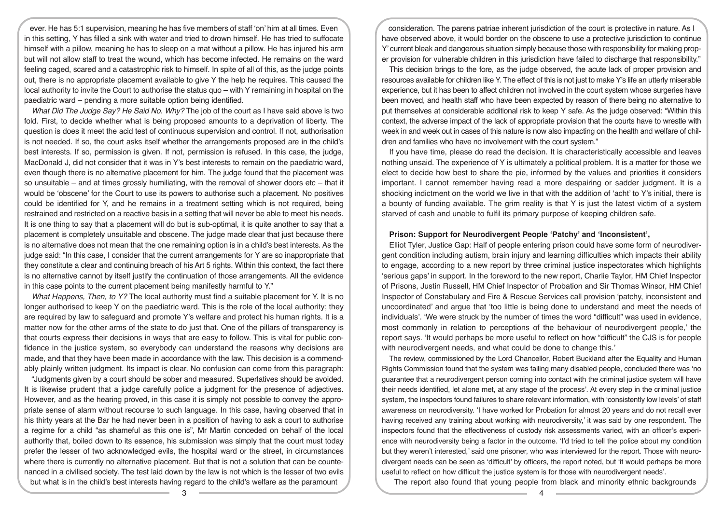ever. He has 5:1 supervision, meaning he has five members of staff 'on' him at all times. Even in this setting, Y has filled a sink with water and tried to drown himself. He has tried to suffocate himself with a pillow, meaning he has to sleep on a mat without a pillow. He has injured his arm but will not allow staff to treat the wound, which has become infected. He remains on the ward feeling caged, scared and a catastrophic risk to himself. In spite of all of this, as the judge points out, there is no appropriate placement available to give Y the help he requires. This caused the local authority to invite the Court to authorise the status quo – with Y remaining in hospital on the paediatric ward – pending a more suitable option being identified.

*What Did The Judge Say? He Said No. Why?* The job of the court as I have said above is two fold. First, to decide whether what is being proposed amounts to a deprivation of liberty. The question is does it meet the acid test of continuous supervision and control. If not, authorisation is not needed. If so, the court asks itself whether the arrangements proposed are in the child's best interests. If so, permission is given. If not, permission is refused. In this case, the judge, MacDonald J, did not consider that it was in Y's best interests to remain on the paediatric ward, even though there is no alternative placement for him. The judge found that the placement was so unsuitable – and at times grossly humiliating, with the removal of shower doors etc – that it would be 'obscene' for the Court to use its powers to authorise such a placement. No positives could be identified for Y, and he remains in a treatment setting which is not required, being restrained and restricted on a reactive basis in a setting that will never be able to meet his needs. It is one thing to say that a placement will do but is sub-optimal, it is quite another to say that a placement is completely unsuitable and obscene. The judge made clear that just because there is no alternative does not mean that the one remaining option is in a child's best interests. As the judge said: "In this case, I consider that the current arrangements for Y are so inappropriate that they constitute a clear and continuing breach of his Art 5 rights. Within this context, the fact there is no alternative cannot by itself justify the continuation of those arrangements. All the evidence in this case points to the current placement being manifestly harmful to Y."

*What Happens, Then, to Y?* The local authority must find a suitable placement for Y. It is no longer authorised to keep Y on the paediatric ward. This is the role of the local authority; they are required by law to safeguard and promote Y's welfare and protect his human rights. It is a matter now for the other arms of the state to do just that. One of the pillars of transparency is that courts express their decisions in ways that are easy to follow. This is vital for public confidence in the justice system, so everybody can understand the reasons why decisions are made, and that they have been made in accordance with the law. This decision is a commendably plainly written judgment. Its impact is clear. No confusion can come from this paragraph:

"Judgments given by a court should be sober and measured. Superlatives should be avoided. It is likewise prudent that a judge carefully police a judgment for the presence of adjectives. However, and as the hearing proved, in this case it is simply not possible to convey the appropriate sense of alarm without recourse to such language. In this case, having observed that in his thirty years at the Bar he had never been in a position of having to ask a court to authorise a regime for a child "as shameful as this one is", Mr Martin conceded on behalf of the local authority that, boiled down to its essence, his submission was simply that the court must today prefer the lesser of two acknowledged evils, the hospital ward or the street, in circumstances where there is currently no alternative placement. But that is not a solution that can be countenanced in a civilised society. The test laid down by the law is not which is the lesser of two evils but what is in the child's best interests having regard to the child's welfare as the paramount

consideration. The parens patriae inherent jurisdiction of the court is protective in nature. As I have observed above, it would border on the obscene to use a protective jurisdiction to continue Y' current bleak and dangerous situation simply because those with responsibility for making proper provision for vulnerable children in this jurisdiction have failed to discharge that responsibility."

This decision brings to the fore, as the judge observed, the acute lack of proper provision and resources available for children like Y. The effect of this is not just to make Y's life an utterly miserable experience, but it has been to affect children not involved in the court system whose surgeries have been moved, and health staff who have been expected by reason of there being no alternative to put themselves at considerable additional risk to keep Y safe. As the judge observed: "Within this context, the adverse impact of the lack of appropriate provision that the courts have to wrestle with week in and week out in cases of this nature is now also impacting on the health and welfare of children and families who have no involvement with the court system."

If you have time, please do read the decision. It is characteristically accessible and leaves nothing unsaid. The experience of Y is ultimately a political problem. It is a matter for those we elect to decide how best to share the pie, informed by the values and priorities it considers important. I cannot remember having read a more despairing or sadder judgment. It is a shocking indictment on the world we live in that with the addition of 'acht' to Y's initial, there is a bounty of funding available. The grim reality is that Y is just the latest victim of a system starved of cash and unable to fulfil its primary purpose of keeping children safe.

#### **Prison: Support for Neurodivergent People 'Patchy' and 'Inconsistent',**

Elliot Tyler, Justice Gap: Half of people entering prison could have some form of neurodivergent condition including autism, brain injury and learning difficulties which impacts their ability to engage, according to a new report by three criminal justice inspectorates which highlights 'serious gaps' in support. In the foreword to the new report, Charlie Taylor, HM Chief Inspector of Prisons, Justin Russell, HM Chief Inspector of Probation and Sir Thomas Winsor, HM Chief Inspector of Constabulary and Fire & Rescue Services call provision 'patchy, inconsistent and uncoordinated' and argue that 'too little is being done to understand and meet the needs of individuals'. 'We were struck by the number of times the word "difficult" was used in evidence, most commonly in relation to perceptions of the behaviour of neurodivergent people,' the report says. 'It would perhaps be more useful to reflect on how "difficult" the CJS is for people with neurodivergent needs, and what could be done to change this.'

The review, commissioned by the Lord Chancellor, Robert Buckland after the Equality and Human Rights Commission found that the system was failing many disabled people, concluded there was 'no guarantee that a neurodivergent person coming into contact with the criminal justice system will have their needs identified, let alone met, at any stage of the process'. At every step in the criminal justice system, the inspectors found failures to share relevant information, with 'consistently low levels' of staff awareness on neurodiversity. 'I have worked for Probation for almost 20 years and do not recall ever having received any training about working with neurodiversity,' it was said by one respondent. The inspectors found that the effectiveness of custody risk assessments varied, with an officer's experience with neurodiversity being a factor in the outcome. 'I'd tried to tell the police about my condition but they weren't interested,' said one prisoner, who was interviewed for the report. Those with neurodivergent needs can be seen as 'difficult' by officers, the report noted, but 'it would perhaps be more useful to reflect on how difficult the justice system is for those with neurodivergent needs'.

The report also found that young people from black and minority ethnic backgrounds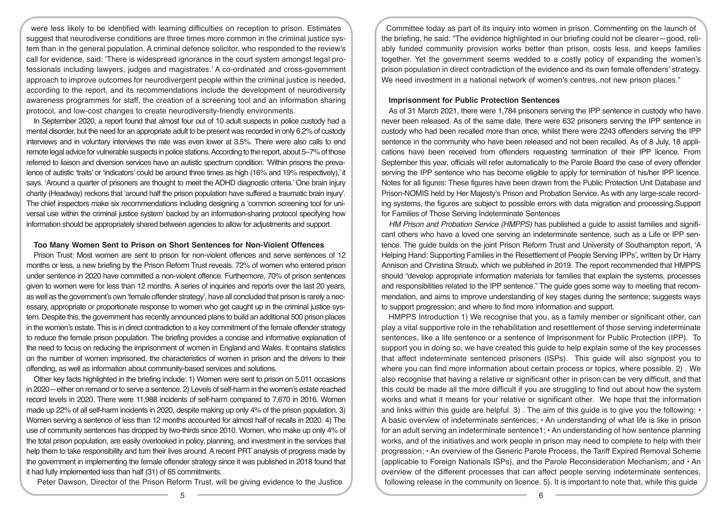were less likely to be identified with learning difficulties on reception to prison. Estimates suggest that neurodiverse conditions are three times more common in the criminal justice system than in the general population. A criminal defence solicitor, who responded to the review's call for evidence, said: 'There is widespread ignorance in the court system amongst legal professionals including lawyers, judges and magistrates.' A co-ordinated and cross-government approach to improve outcomes for neurodivergent people within the criminal justice is needed, according to the report, and its recommendations include the development of neurodiversity awareness programmes for staff, the creation of a screening tool and an information sharing protocol, and low-cost changes to create neurodiversity-friendly environments.

In September 2020, a report found that almost four out of 10 adult suspects in police custody had a mental disorder, but the need for an appropriate adult to be present was recorded in only 6.2% of custody interviews and in voluntary interviews the rate was even lower at 3.5%. There were also calls to end remote legal advice for vulnerable suspects in police stations. According to the report, about 5–7% of those referred to liaison and diversion services have an autistic spectrum condition. 'Within prisons the prevalence of autistic 'traits' or 'indicators' could be around three times as high (16% and 19% respectively),' it says. 'Around a quarter of prisoners are thought to meet the ADHD diagnostic criteria.' One brain injury charity (Headway) reckons that 'around half the prison population have suffered a traumatic brain injury'. The chief inspectors make six recommendations including designing a 'common screening tool for universal use within the criminal justice system' backed by an information-sharing protocol specifying how information should be appropriately shared between agencies to allow for adjustments and support.

#### **Too Many Women Sent to Prison on Short Sentences for Non-Violent Offences**

Prison Trust: Most women are sent to prison for non-violent offences and serve sentences of 12 months or less, a new briefing by the Prison Reform Trust reveals. 72% of women who entered prison under sentence in 2020 have committed a non-violent offence. Furthermore, 70% of prison sentences given to women were for less than 12 months. A series of inquiries and reports over the last 20 years, as well as the government's own 'female offender strategy', have all concluded that prison is rarely a necessary, appropriate or proportionate response to women who get caught up in the criminal justice system. Despite this, the government has recently announced plans to build an additional 500 prison places in the women's estate. This is in direct contradiction to a key commitment of the female offender strategy to reduce the female prison population. The briefing provides a concise and informative explanation of the need to focus on reducing the imprisonment of women in England and Wales. It contains statistics on the number of women imprisoned, the characteristics of women in prison and the drivers to their offending, as well as information about community-based services and solutions.

Other key facts highlighted in the briefing include: 1) Women were sent to prison on 5,011 occasions in 2020—either on remand or to serve a sentence. 2) Levels of self-harm in the women's estate reached record levels in 2020. There were 11,988 incidents of self-harm compared to 7,670 in 2016. Women made up 22% of all self-harm incidents in 2020, despite making up only 4% of the prison population. 3) Women serving a sentence of less than 12 months accounted for almost half of recalls in 2020. 4) The use of community sentences has dropped by two-thirds since 2010. Women, who make up only 4% of the total prison population, are easily overlooked in policy, planning, and investment in the services that help them to take responsibility and turn their lives around. A recent PRT analysis of progress made by the government in implementing the female offender strategy since it was published in 2018 found that it had fully implemented less than half (31) of 65 commitments.

Peter Dawson, Director of the Prison Reform Trust, will be giving evidence to the Justice

Committee today as part of its inquiry into women in prison. Commenting on the launch of the briefing, he said: "The evidence highlighted in our briefing could not be clearer—good, reliably funded community provision works better than prison, costs less, and keeps families together. Yet the government seems wedded to a costly policy of expanding the women's prison population in direct contradiction of the evidence and its own female offenders' strategy. We need investment in a national network of women's centres, not new prison places."

#### **Imprisonment for Public Protection Sentences**

As of 31 March 2021, there were 1,784 prisoners serving the IPP sentence in custody who have never been released. As of the same date, there were 632 prisoners serving the IPP sentence in custody who had been recalled more than once, whilst there were 2243 offenders serving the IPP sentence in the community who have been released and not been recalled. As of 8 July, 18 applications have been received from offenders requesting termination of their IPP licence. From September this year, officials will refer automatically to the Parole Board the case of every offender serving the IPP sentence who has become eligible to apply for termination of his/her IPP licence. Notes for all figures: These figures have been drawn from the Public Protection Unit Database and Prison-NOMIS held by Her Majesty's Prison and Probation Service. As with any large-scale recording systems, the figures are subject to possible errors with data migration and processing.Support for Families of Those Serving Indeterminate Sentences

*HM Prison and Probation Service (HMPPS)* has published a guide to assist families and significant others who have a loved one serving an indeterminate sentence, such as a Life or IPP sentence. The guide builds on the joint Prison Reform Trust and University of Southampton report, 'A Helping Hand: Supporting Families in the Resettlement of People Serving IPPs', written by Dr Harry Annison and Christina Straub, which we published in 2019. The report recommended that HMPPS should "develop appropriate information materials for families that explain the systems, processes and responsibilities related to the IPP sentence." The guide goes some way to meeting that recommendation, and aims to improve understanding of key stages during the sentence; suggests ways to support progression; and where to find more information and support.

HMPPS Introduction 1) We recognise that you, as a family member or significant other, can play a vital supportive role in the rehabilitation and resettlement of those serving indeterminate sentences, like a life sentence or a sentence of Imprisonment for Public Protection (IPP). To support you in doing so, we have created this guide to help explain some of the key processes that affect indeterminate sentenced prisoners (ISPs). This guide will also signpost you to where you can find more information about certain process or topics, where possible. 2) . We also recognise that having a relative or significant other in prison can be very difficult, and that this could be made all the more difficult if you are struggling to find out about how the system works and what it means for your relative or significant other. We hope that the information and links within this guide are helpful. 3). The aim of this guide is to give you the following:  $\cdot$ A basic overview of indeterminate sentences; • An understanding of what life is like in prison for an adult serving an indeterminate sentence1; • An understanding of how sentence planning works, and of the initiatives and work people in prison may need to complete to help with their progression; • An overview of the Generic Parole Process, the Tariff Expired Removal Scheme (applicable to Foreign Nationals ISPs), and the Parole Reconsideration Mechanism; and • An overview of the different processes that can affect people serving indeterminate sentences, following release in the community on licence. 5). It is important to note that, while this guide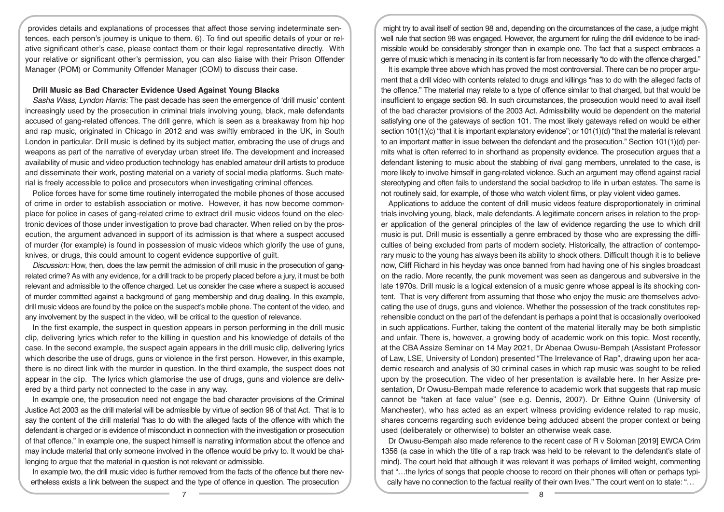provides details and explanations of processes that affect those serving indeterminate sentences, each person's journey is unique to them. 6). To find out specific details of your or relative significant other's case, please contact them or their legal representative directly. With your relative or significant other's permission, you can also liaise with their Prison Offender Manager (POM) or Community Offender Manager (COM) to discuss their case.

#### **Drill Music as Bad Character Evidence Used Against Young Blacks**

*Sasha Wass, Lyndon Harris:* The past decade has seen the emergence of 'drill music' content increasingly used by the prosecution in criminal trials involving young, black, male defendants accused of gang-related offences. The drill genre, which is seen as a breakaway from hip hop and rap music, originated in Chicago in 2012 and was swiftly embraced in the UK, in South London in particular. Drill music is defined by its subject matter, embracing the use of drugs and weapons as part of the narrative of everyday urban street life. The development and increased availability of music and video production technology has enabled amateur drill artists to produce and disseminate their work, posting material on a variety of social media platforms. Such material is freely accessible to police and prosecutors when investigating criminal offences.

Police forces have for some time routinely interrogated the mobile phones of those accused of crime in order to establish association or motive. However, it has now become commonplace for police in cases of gang-related crime to extract drill music videos found on the electronic devices of those under investigation to prove bad character. When relied on by the prosecution, the argument advanced in support of its admission is that where a suspect accused of murder (for example) is found in possession of music videos which glorify the use of guns, knives, or drugs, this could amount to cogent evidence supportive of guilt.

*Discussion:* How, then, does the law permit the admission of drill music in the prosecution of gangrelated crime? As with any evidence, for a drill track to be properly placed before a jury, it must be both relevant and admissible to the offence charged. Let us consider the case where a suspect is accused of murder committed against a background of gang membership and drug dealing. In this example, drill music videos are found by the police on the suspect's mobile phone. The content of the video, and any involvement by the suspect in the video, will be critical to the question of relevance.

In the first example, the suspect in question appears in person performing in the drill music clip, delivering lyrics which refer to the killing in question and his knowledge of details of the case. In the second example, the suspect again appears in the drill music clip, delivering lyrics which describe the use of drugs, guns or violence in the first person. However, in this example, there is no direct link with the murder in question. In the third example, the suspect does not appear in the clip. The lyrics which glamorise the use of drugs, guns and violence are delivered by a third party not connected to the case in any way.

In example one, the prosecution need not engage the bad character provisions of the Criminal Justice Act 2003 as the drill material will be admissible by virtue of section 98 of that Act. That is to say the content of the drill material "has to do with the alleged facts of the offence with which the defendant is charged or is evidence of misconduct in connection with the investigation or prosecution of that offence." In example one, the suspect himself is narrating information about the offence and may include material that only someone involved in the offence would be privy to. It would be challenging to argue that the material in question is not relevant or admissible.

In example two, the drill music video is further removed from the facts of the offence but there nevertheless exists a link between the suspect and the type of offence in question. The prosecution

might try to avail itself of section 98 and, depending on the circumstances of the case, a judge might well rule that section 98 was engaged. However, the argument for ruling the drill evidence to be inadmissible would be considerably stronger than in example one. The fact that a suspect embraces a genre of music which is menacing in its content is far from necessarily "to do with the offence charged."

It is example three above which has proved the most controversial. There can be no proper argument that a drill video with contents related to drugs and killings "has to do with the alleged facts of the offence." The material may relate to a type of offence similar to that charged, but that would be insufficient to engage section 98. In such circumstances, the prosecution would need to avail itself of the bad character provisions of the 2003 Act. Admissibility would be dependent on the material satisfying one of the gateways of section 101. The most likely gateways relied on would be either section 101(1)(c) "that it is important explanatory evidence"; or 101(1)(d) "that the material is relevant to an important matter in issue between the defendant and the prosecution." Section 101(1)(d) permits what is often referred to in shorthand as propensity evidence. The prosecution argues that a defendant listening to music about the stabbing of rival gang members, unrelated to the case, is more likely to involve himself in gang-related violence. Such an argument may offend against racial stereotyping and often fails to understand the social backdrop to life in urban estates. The same is not routinely said, for example, of those who watch violent films, or play violent video games.

Applications to adduce the content of drill music videos feature disproportionately in criminal trials involving young, black, male defendants. A legitimate concern arises in relation to the proper application of the general principles of the law of evidence regarding the use to which drill music is put. Drill music is essentially a genre embraced by those who are expressing the difficulties of being excluded from parts of modern society. Historically, the attraction of contemporary music to the young has always been its ability to shock others. Difficult though it is to believe now, Cliff Richard in his heyday was once banned from had having one of his singles broadcast on the radio. More recently, the punk movement was seen as dangerous and subversive in the late 1970s. Drill music is a logical extension of a music genre whose appeal is its shocking content. That is very different from assuming that those who enjoy the music are themselves advocating the use of drugs, guns and violence. Whether the possession of the track constitutes reprehensible conduct on the part of the defendant is perhaps a point that is occasionally overlooked in such applications. Further, taking the content of the material literally may be both simplistic and unfair. There is, however, a growing body of academic work on this topic. Most recently, at the CBA Assize Seminar on 14 May 2021, Dr Abenaa Owusu-Bempah (Assistant Professor of Law, LSE, University of London) presented "The Irrelevance of Rap", drawing upon her academic research and analysis of 30 criminal cases in which rap music was sought to be relied upon by the prosecution. The video of her presentation is available here. In her Assize presentation, Dr Owusu-Bempah made reference to academic work that suggests that rap music cannot be "taken at face value" (see e.g. Dennis, 2007). Dr Eithne Quinn (University of Manchester), who has acted as an expert witness providing evidence related to rap music, shares concerns regarding such evidence being adduced absent the proper context or being used (deliberately or otherwise) to bolster an otherwise weak case.

Dr Owusu-Bempah also made reference to the recent case of R v Soloman [2019] EWCA Crim 1356 (a case in which the title of a rap track was held to be relevant to the defendant's state of mind). The court held that although it was relevant it was perhaps of limited weight, commenting that "…the lyrics of songs that people choose to record on their phones will often or perhaps typically have no connection to the factual reality of their own lives." The court went on to state: "…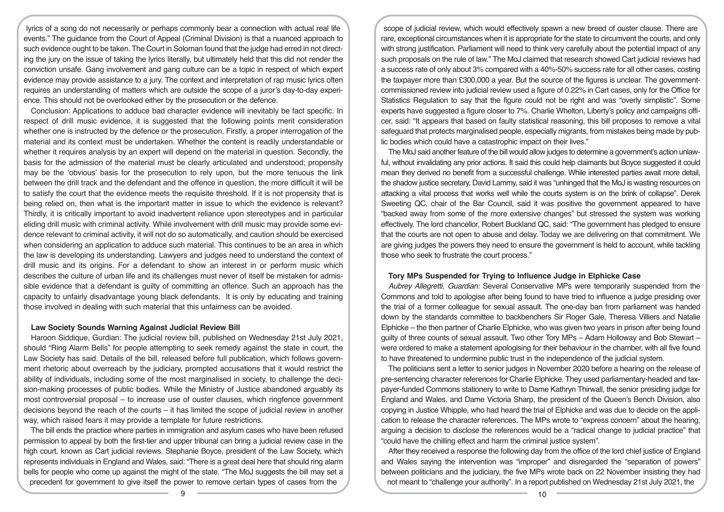lyrics of a song do not necessarily or perhaps commonly bear a connection with actual real life events." The guidance from the Court of Appeal (Criminal Division) is that a nuanced approach to such evidence ought to be taken. The Court in Soloman found that the judge had erred in not directing the jury on the issue of taking the lyrics literally, but ultimately held that this did not render the conviction unsafe. Gang involvement and gang culture can be a topic in respect of which expert evidence may provide assistance to a jury. The context and interpretation of rap music lyrics often requires an understanding of matters which are outside the scope of a juror's day-to-day experience. This should not be overlooked either by the prosecution or the defence.

Conclusion: Applications to adduce bad character evidence will inevitably be fact specific. In respect of drill music evidence, it is suggested that the following points merit consideration whether one is instructed by the defence or the prosecution. Firstly, a proper interrogation of the material and its context must be undertaken. Whether the content is readily understandable or whether it requires analysis by an expert will depend on the material in question. Secondly, the basis for the admission of the material must be clearly articulated and understood; propensity may be the 'obvious' basis for the prosecution to rely upon, but the more tenuous the link between the drill track and the defendant and the offence in question, the more difficult it will be to satisfy the court that the evidence meets the requisite threshold. If it is not propensity that is being relied on, then what is the important matter in issue to which the evidence is relevant? Thirdly, it is critically important to avoid inadvertent reliance upon stereotypes and in particular eliding drill music with criminal activity. While involvement with drill music may provide some evidence relevant to criminal activity, it will not do so automatically, and caution should be exercised when considering an application to adduce such material. This continues to be an area in which the law is developing its understanding. Lawyers and judges need to understand the context of drill music and its origins. For a defendant to show an interest in or perform music which describes the culture of urban life and its challenges must never of itself be mistaken for admissible evidence that a defendant is guilty of committing an offence. Such an approach has the capacity to unfairly disadvantage young black defendants. It is only by educating and training those involved in dealing with such material that this unfairness can be avoided.

#### **Law Society Sounds Warning Against Judicial Review Bill**

Haroon Siddique, Gurdian: The judicial review bill, published on Wednesday 21st July 2021, should "Ring Alarm Bells" for people attempting to seek remedy against the state in court, the Law Society has said. Details of the bill, released before full publication, which follows government rhetoric about overreach by the judiciary, prompted accusations that it would restrict the ability of individuals, including some of the most marginalised in society, to challenge the decision-making processes of public bodies. While the Ministry of Justice abandoned arguably its most controversial proposal – to increase use of ouster clauses, which ringfence government decisions beyond the reach of the courts – it has limited the scope of judicial review in another way, which raised fears it may provide a template for future restrictions.

The bill ends the practice where parties in immigration and asylum cases who have been refused permission to appeal by both the first-tier and upper tribunal can bring a judicial review case in the high court, known as Cart judicial reviews. Stephanie Boyce, president of the Law Society, which represents individuals in England and Wales, said: "There is a great deal here that should ring alarm bells for people who come up against the might of the state. "The MoJ suggests the bill may set a precedent for government to give itself the power to remove certain types of cases from the

scope of judicial review, which would effectively spawn a new breed of ouster clause. There are rare, exceptional circumstances when it is appropriate for the state to circumvent the courts, and only with strong justification. Parliament will need to think very carefully about the potential impact of any such proposals on the rule of law." The MoJ claimed that research showed Cart judicial reviews had a success rate of only about 3% compared with a 40%-50% success rate for all other cases, costing the taxpayer more than £300,000 a year. But the source of the figures is unclear. The governmentcommissioned review into judicial review used a figure of 0.22% in Cart cases, only for the Office for Statistics Regulation to say that the figure could not be right and was "overly simplistic". Some experts have suggested a figure closer to 7%. Charlie Whelton, Liberty's policy and campaigns officer, said: "It appears that based on faulty statistical reasoning, this bill proposes to remove a vital safeguard that protects marginalised people, especially migrants, from mistakes being made by public bodies which could have a catastrophic impact on their lives."

The MoJ said another feature of the bill would allow judges to determine a government's action unlawful, without invalidating any prior actions. It said this could help claimants but Boyce suggested it could mean they derived no benefit from a successful challenge. While interested parties await more detail, the shadow justice secretary, David Lammy, said it was "unhinged that the MoJ is wasting resources on attacking a vital process that works well while the courts system is on the brink of collapse". Derek Sweeting QC, chair of the Bar Council, said it was positive the government appeared to have "backed away from some of the more extensive changes" but stressed the system was working effectively. The lord chancellor, Robert Buckland QC, said: "The government has pledged to ensure that the courts are not open to abuse and delay. Today we are delivering on that commitment. We are giving judges the powers they need to ensure the government is held to account, while tackling those who seek to frustrate the court process."

### **Tory MPs Suspended for Trying to Influence Judge in Elphicke Case**

*Aubrey Allegretti, Guardian:* Several Conservative MPs were temporarily suspended from the Commons and told to apologise after being found to have tried to influence a judge presiding over the trial of a former colleague for sexual assault. The one-day ban from parliament was handed down by the standards committee to backbenchers Sir Roger Gale, Theresa Villiers and Natalie Elphicke – the then partner of Charlie Elphicke, who was given two years in prison after being found guilty of three counts of sexual assault. Two other Tory MPs – Adam Holloway and Bob Stewart – were ordered to make a statement apologising for their behaviour in the chamber, with all five found to have threatened to undermine public trust in the independence of the judicial system.

The politicians sent a letter to senior judges in November 2020 before a hearing on the release of pre-sentencing character references for Charlie Elphicke. They used parliamentary-headed and taxpayer-funded Commons stationery to write to Dame Kathryn Thirwall, the senior presiding judge for England and Wales, and Dame Victoria Sharp, the president of the Queen's Bench Division, also copying in Justice Whipple, who had heard the trial of Elphicke and was due to decide on the application to release the character references. The MPs wrote to "express concern" about the hearing, arguing a decision to disclose the references would be a "radical change to judicial practice" that "could have the chilling effect and harm the criminal justice system".

After they received a response the following day from the office of the lord chief justice of England and Wales saying the intervention was "improper" and disregarded the "separation of powers" between politicians and the judiciary, the five MPs wrote back on 22 November insisting they had not meant to "challenge your authority". In a report published on Wednesday 21st July 2021, the